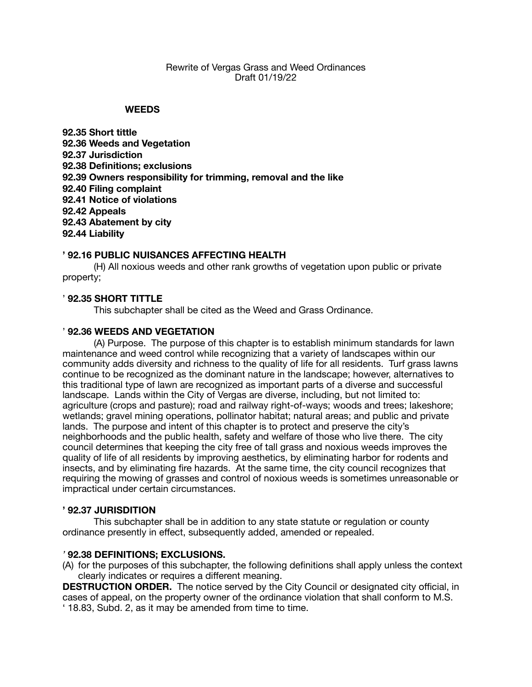## Rewrite of Vergas Grass and Weed Ordinances Draft 01/19/22

### **WEEDS**

**92.35 Short tittle 92.36 Weeds and Vegetation 92.37 Jurisdiction 92.38 Definitions; exclusions 92.39 Owners responsibility for trimming, removal and the like 92.40 Filing complaint 92.41 Notice of violations 92.42 Appeals 92.43 Abatement by city 92.44 Liability**

## **' 92.16 PUBLIC NUISANCES AFFECTING HEALTH**

(H) All noxious weeds and other rank growths of vegetation upon public or private property;

## ' **92.35 SHORT TITTLE**

This subchapter shall be cited as the Weed and Grass Ordinance.

## ' **92.36 WEEDS AND VEGETATION**

(A) Purpose. The purpose of this chapter is to establish minimum standards for lawn maintenance and weed control while recognizing that a variety of landscapes within our community adds diversity and richness to the quality of life for all residents. Turf grass lawns continue to be recognized as the dominant nature in the landscape; however, alternatives to this traditional type of lawn are recognized as important parts of a diverse and successful landscape. Lands within the City of Vergas are diverse, including, but not limited to: agriculture (crops and pasture); road and railway right-of-ways; woods and trees; lakeshore; wetlands; gravel mining operations, pollinator habitat; natural areas; and public and private lands. The purpose and intent of this chapter is to protect and preserve the city's neighborhoods and the public health, safety and welfare of those who live there. The city council determines that keeping the city free of tall grass and noxious weeds improves the quality of life of all residents by improving aesthetics, by eliminating harbor for rodents and insects, and by eliminating fire hazards. At the same time, the city council recognizes that requiring the mowing of grasses and control of noxious weeds is sometimes unreasonable or impractical under certain circumstances.

### **' 92.37 JURISDITION**

This subchapter shall be in addition to any state statute or regulation or county ordinance presently in effect, subsequently added, amended or repealed.

### *'* **92.38 DEFINITIONS; EXCLUSIONS.**

(A) for the purposes of this subchapter, the following definitions shall apply unless the context clearly indicates or requires a different meaning.

**DESTRUCTION ORDER.** The notice served by the City Council or designated city official, in cases of appeal, on the property owner of the ordinance violation that shall conform to M.S. ' 18.83, Subd. 2, as it may be amended from time to time.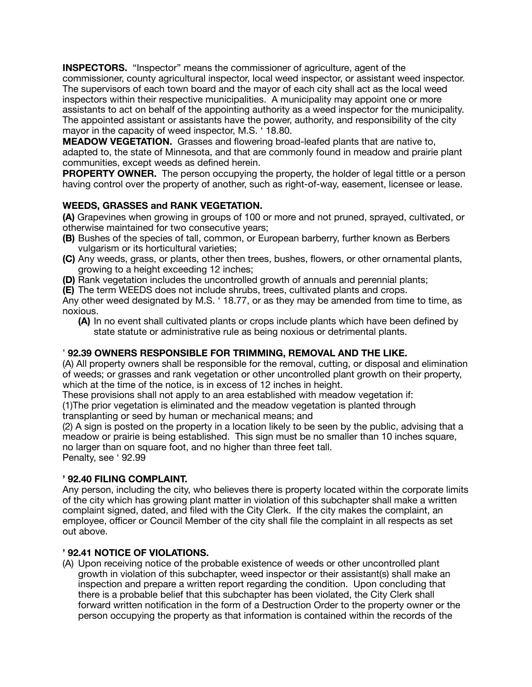**INSPECTORS.** "Inspector" means the commissioner of agriculture, agent of the commissioner, county agricultural inspector, local weed inspector, or assistant weed inspector. The supervisors of each town board and the mayor of each city shall act as the local weed inspectors within their respective municipalities. A municipality may appoint one or more assistants to act on behalf of the appointing authority as a weed inspector for the municipality. The appointed assistant or assistants have the power, authority, and responsibility of the city mayor in the capacity of weed inspector, M.S. ' 18.80.

**MEADOW VEGETATION.** Grasses and flowering broad-leafed plants that are native to, adapted to, the state of Minnesota, and that are commonly found in meadow and prairie plant communities, except weeds as defined herein.

**PROPERTY OWNER.** The person occupying the property, the holder of legal tittle or a person having control over the property of another, such as right-of-way, easement, licensee or lease.

# **WEEDS, GRASSES and RANK VEGETATION.**

**(A)** Grapevines when growing in groups of 100 or more and not pruned, sprayed, cultivated, or otherwise maintained for two consecutive years;

- **(B)** Bushes of the species of tall, common, or European barberry, further known as Berbers vulgarism or its horticultural varieties;
- **(C)** Any weeds, grass, or plants, other then trees, bushes, flowers, or other ornamental plants, growing to a height exceeding 12 inches;
- **(D)** Rank vegetation includes the uncontrolled growth of annuals and perennial plants;
- **(E)** The term WEEDS does not include shrubs, trees, cultivated plants and crops.

Any other weed designated by M.S. ' 18.77, or as they may be amended from time to time, as noxious.

**(A)** In no event shall cultivated plants or crops include plants which have been defined by state statute or administrative rule as being noxious or detrimental plants.

# ' **92.39 OWNERS RESPONSIBLE FOR TRIMMING, REMOVAL AND THE LIKE.**

(A) All property owners shall be responsible for the removal, cutting, or disposal and elimination of weeds; or grasses and rank vegetation or other uncontrolled plant growth on their property, which at the time of the notice, is in excess of 12 inches in height.

These provisions shall not apply to an area established with meadow vegetation if:

(1)The prior vegetation is eliminated and the meadow vegetation is planted through transplanting or seed by human or mechanical means; and

(2) A sign is posted on the property in a location likely to be seen by the public, advising that a meadow or prairie is being established. This sign must be no smaller than 10 inches square, no larger than on square foot, and no higher than three feet tall. Penalty, see ' 92.99

## **' 92.40 FILING COMPLAINT.**

Any person, including the city, who believes there is property located within the corporate limits of the city which has growing plant matter in violation of this subchapter shall make a written complaint signed, dated, and filed with the City Clerk. If the city makes the complaint, an employee, officer or Council Member of the city shall file the complaint in all respects as set out above.

## **' 92.41 NOTICE OF VIOLATIONS.**

(A) Upon receiving notice of the probable existence of weeds or other uncontrolled plant growth in violation of this subchapter, weed inspector or their assistant(s) shall make an inspection and prepare a written report regarding the condition. Upon concluding that there is a probable belief that this subchapter has been violated, the City Clerk shall forward written notification in the form of a Destruction Order to the property owner or the person occupying the property as that information is contained within the records of the